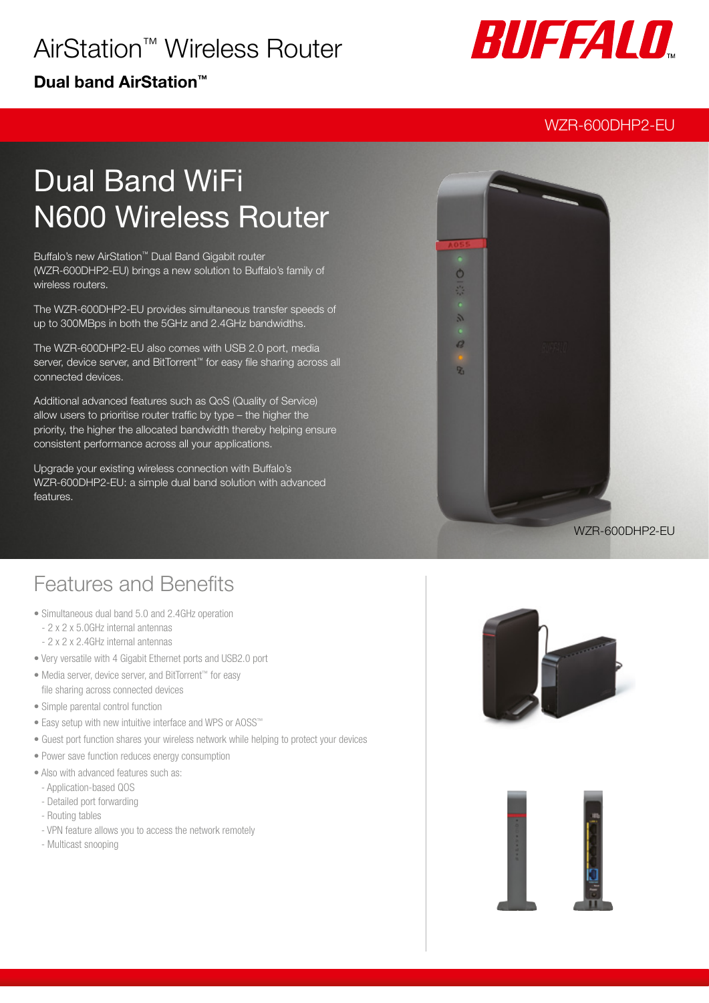## AirStation™ Wireless Router

### Dual band AirStation™



### WZR-600DHP2-EU

# Dual Band WiFi N600 Wireless Router

Buffalo's new AirStation™ Dual Band Gigabit router (WZR-600DHP2-EU) brings a new solution to Buffalo's family of wireless routers.

The WZR-600DHP2-EU provides simultaneous transfer speeds of up to 300MBps in both the 5GHz and 2.4GHz bandwidths.

The WZR-600DHP2-EU also comes with USB 2.0 port, media server, device server, and BitTorrent<sup>™</sup> for easy file sharing across all connected devices.

Additional advanced features such as QoS (Quality of Service) allow users to prioritise router traffic by type – the higher the priority, the higher the allocated bandwidth thereby helping ensure consistent performance across all your applications.

Upgrade your existing wireless connection with Buffalo's WZR-600DHP2-EU: a simple dual band solution with advanced features.



### Features and Benefits

- Simultaneous dual band 5.0 and 2.4GHz operation
	- 2 x 2 x 5.0GHz internal antennas
	- 2 x 2 x 2.4GHz internal antennas
- Very versatile with 4 Gigabit Ethernet ports and USB2.0 port
- Media server, device server, and BitTorrent™ for easy file sharing across connected devices
- Simple parental control function
- Easy setup with new intuitive interface and WPS or AOSS™
- Guest port function shares your wireless network while helping to protect your devices
- Power save function reduces energy consumption
- Also with advanced features such as:
- Application-based QOS
- Detailed port forwarding
- Routing tables
- VPN feature allows you to access the network remotely
- Multicast snooping